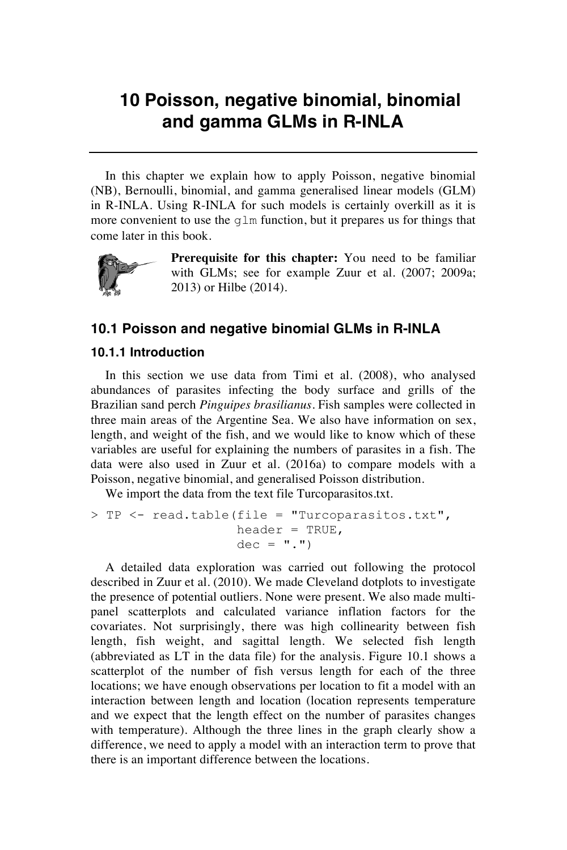## **10 Poisson, negative binomial, binomial and gamma GLMs in R-INLA**

In this chapter we explain how to apply Poisson, negative binomial (NB), Bernoulli, binomial, and gamma generalised linear models (GLM) in R-INLA. Using R-INLA for such models is certainly overkill as it is more convenient to use the glm function, but it prepares us for things that come later in this book.



**Prerequisite for this chapter:** You need to be familiar with GLMs; see for example Zuur et al. (2007; 2009a; 2013) or Hilbe (2014).

## **10.1 Poisson and negative binomial GLMs in R-INLA**

## **10.1.1 Introduction**

In this section we use data from Timi et al. (2008), who analysed abundances of parasites infecting the body surface and grills of the Brazilian sand perch *Pinguipes brasilianus*. Fish samples were collected in three main areas of the Argentine Sea. We also have information on sex, length, and weight of the fish, and we would like to know which of these variables are useful for explaining the numbers of parasites in a fish. The data were also used in Zuur et al. (2016a) to compare models with a Poisson, negative binomial, and generalised Poisson distribution.

We import the data from the text file Turcoparasitos.txt.

```
> TP <- read.table(file = "Turcoparasitos.txt", 
                   header = TRUE,
                   dec = ".'
```
A detailed data exploration was carried out following the protocol described in Zuur et al. (2010). We made Cleveland dotplots to investigate the presence of potential outliers. None were present. We also made multipanel scatterplots and calculated variance inflation factors for the covariates. Not surprisingly, there was high collinearity between fish length, fish weight, and sagittal length. We selected fish length (abbreviated as LT in the data file) for the analysis. Figure 10.1 shows a scatterplot of the number of fish versus length for each of the three locations; we have enough observations per location to fit a model with an interaction between length and location (location represents temperature and we expect that the length effect on the number of parasites changes with temperature). Although the three lines in the graph clearly show a difference, we need to apply a model with an interaction term to prove that there is an important difference between the locations.